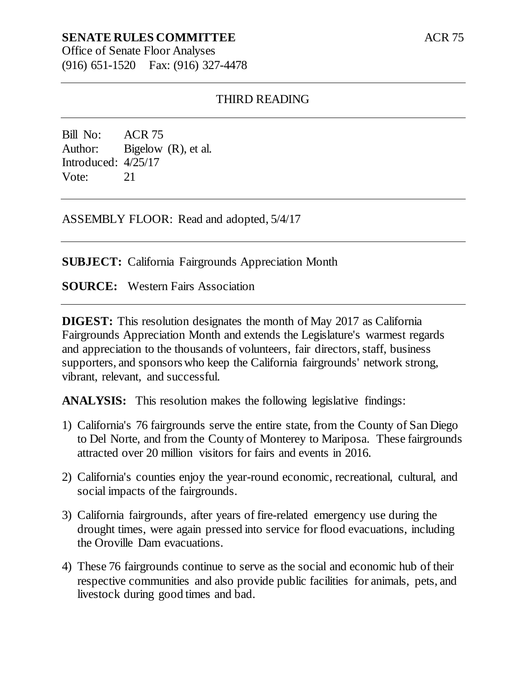# **SENATE RULES COMMITTEE**

Office of Senate Floor Analyses (916) 651-1520 Fax: (916) 327-4478

#### THIRD READING

Bill No: ACR 75 Author: Bigelow (R), et al. Introduced: 4/25/17 Vote: 21

ASSEMBLY FLOOR: Read and adopted, 5/4/17

**SUBJECT:** California Fairgrounds Appreciation Month

**SOURCE:** Western Fairs Association

**DIGEST:** This resolution designates the month of May 2017 as California Fairgrounds Appreciation Month and extends the Legislature's warmest regards and appreciation to the thousands of volunteers, fair directors, staff, business supporters, and sponsors who keep the California fairgrounds' network strong, vibrant, relevant, and successful.

**ANALYSIS:** This resolution makes the following legislative findings:

- 1) California's 76 fairgrounds serve the entire state, from the County of San Diego to Del Norte, and from the County of Monterey to Mariposa. These fairgrounds attracted over 20 million visitors for fairs and events in 2016.
- 2) California's counties enjoy the year-round economic, recreational, cultural, and social impacts of the fairgrounds.
- 3) California fairgrounds, after years of fire-related emergency use during the drought times, were again pressed into service for flood evacuations, including the Oroville Dam evacuations.
- 4) These 76 fairgrounds continue to serve as the social and economic hub of their respective communities and also provide public facilities for animals, pets, and livestock during good times and bad.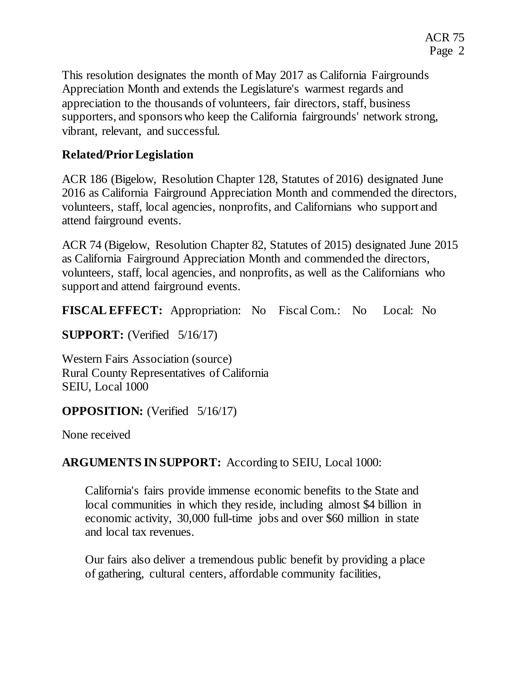This resolution designates the month of May 2017 as California Fairgrounds Appreciation Month and extends the Legislature's warmest regards and appreciation to the thousands of volunteers, fair directors, staff, business supporters, and sponsors who keep the California fairgrounds' network strong, vibrant, relevant, and successful.

# **Related/Prior Legislation**

ACR 186 (Bigelow, Resolution Chapter 128, Statutes of 2016) designated June 2016 as California Fairground Appreciation Month and commended the directors, volunteers, staff, local agencies, nonprofits, and Californians who support and attend fairground events.

ACR 74 (Bigelow, Resolution Chapter 82, Statutes of 2015) designated June 2015 as California Fairground Appreciation Month and commended the directors, volunteers, staff, local agencies, and nonprofits, as well as the Californians who support and attend fairground events.

**FISCAL EFFECT:** Appropriation: No Fiscal Com.: No Local: No

**SUPPORT:** (Verified 5/16/17)

Western Fairs Association (source) Rural County Representatives of California SEIU, Local 1000

### **OPPOSITION:** (Verified 5/16/17)

None received

# **ARGUMENTS IN SUPPORT:** According to SEIU, Local 1000:

California's fairs provide immense economic benefits to the State and local communities in which they reside, including almost \$4 billion in economic activity, 30,000 full-time jobs and over \$60 million in state and local tax revenues.

Our fairs also deliver a tremendous public benefit by providing a place of gathering, cultural centers, affordable community facilities,